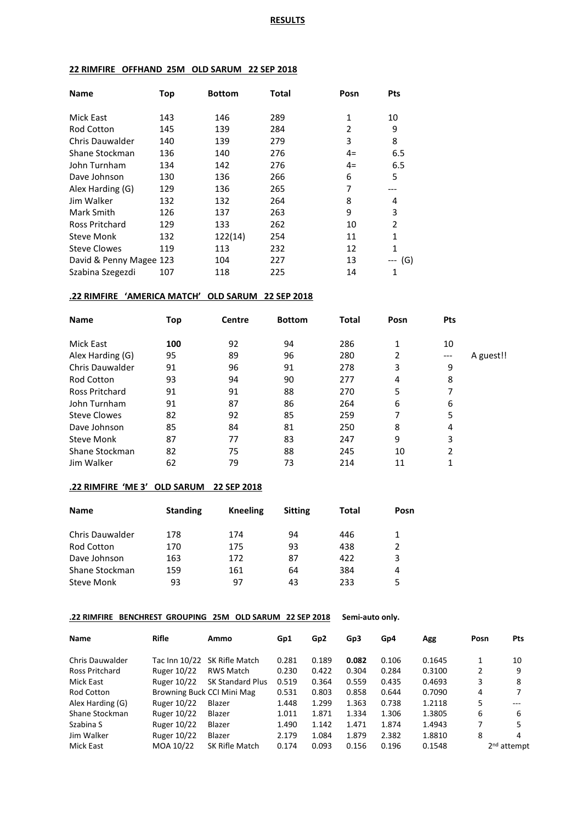## **22 RIMFIRE OFFHAND 25M OLD SARUM 22 SEP 2018**

| <b>Name</b>             | Top | <b>Bottom</b> | Total | Posn           | <b>Pts</b>   |
|-------------------------|-----|---------------|-------|----------------|--------------|
| Mick East               | 143 | 146           | 289   | 1              | 10           |
| <b>Rod Cotton</b>       | 145 | 139           | 284   | $\overline{2}$ | 9            |
| Chris Dauwalder         | 140 | 139           | 279   | 3              | 8            |
| Shane Stockman          | 136 | 140           | 276   | $4=$           | 6.5          |
| John Turnham            | 134 | 142           | 276   | $4=$           | 6.5          |
| Dave Johnson            | 130 | 136           | 266   | 6              | 5            |
| Alex Harding (G)        | 129 | 136           | 265   | 7              |              |
| Jim Walker              | 132 | 132           | 264   | 8              | 4            |
| Mark Smith              | 126 | 137           | 263   | 9              | 3            |
| Ross Pritchard          | 129 | 133           | 262   | 10             | 2            |
| <b>Steve Monk</b>       | 132 | 122(14)       | 254   | 11             | $\mathbf{1}$ |
| <b>Steve Clowes</b>     | 119 | 113           | 232   | 12             | $\mathbf{1}$ |
| David & Penny Magee 123 |     | 104           | 227   | 13             | (G)          |
| Szabina Szegezdi        | 107 | 118           | 225   | 14             | 1            |

### **.22 RIMFIRE 'AMERICA MATCH' OLD SARUM 22 SEP 2018**

| <b>Name</b>         | Top | Centre | <b>Bottom</b> | Total | Posn | <b>Pts</b> |           |
|---------------------|-----|--------|---------------|-------|------|------------|-----------|
| Mick East           | 100 | 92     | 94            | 286   | 1    | 10         |           |
| Alex Harding (G)    | 95  | 89     | 96            | 280   | 2    | ---        | A guest!! |
| Chris Dauwalder     | 91  | 96     | 91            | 278   | 3    | 9          |           |
| <b>Rod Cotton</b>   | 93  | 94     | 90            | 277   | 4    | 8          |           |
| Ross Pritchard      | 91  | 91     | 88            | 270   | 5    |            |           |
| John Turnham        | 91  | 87     | 86            | 264   | 6    | 6          |           |
| <b>Steve Clowes</b> | 82  | 92     | 85            | 259   | 7    | 5          |           |
| Dave Johnson        | 85  | 84     | 81            | 250   | 8    | 4          |           |
| <b>Steve Monk</b>   | 87  | 77     | 83            | 247   | 9    | 3          |           |
| Shane Stockman      | 82  | 75     | 88            | 245   | 10   | 2          |           |
| Jim Walker          | 62  | 79     | 73            | 214   | 11   | 1          |           |
|                     |     |        |               |       |      |            |           |

### **.22 RIMFIRE 'ME 3' OLD SARUM 22 SEP 2018**

| <b>Name</b>            | <b>Standing</b> | <b>Kneeling</b> | <b>Sitting</b> | Total | Posn |
|------------------------|-----------------|-----------------|----------------|-------|------|
| <b>Chris Dauwalder</b> | 178             | 174             | 94             | 446   | 1    |
| Rod Cotton             | 170             | 175             | 93             | 438   | 2    |
| Dave Johnson           | 163             | 172             | 87             | 422   | 3    |
| Shane Stockman         | 159             | 161             | 64             | 384   | 4    |
| Steve Monk             | 93              | 97              | 43             | 233   | 5    |

### **.22 RIMFIRE BENCHREST GROUPING 25M OLD SARUM 22 SEP 2018 Semi-auto only.**

| Name                   | <b>Rifle</b>       | Ammo                         | Gp1   | Gp <sub>2</sub> | Gp3   | Gp4   | Agg    | Posn | Pts           |
|------------------------|--------------------|------------------------------|-------|-----------------|-------|-------|--------|------|---------------|
| <b>Chris Dauwalder</b> |                    | Tac Inn 10/22 SK Rifle Match | 0.281 | 0.189           | 0.082 | 0.106 | 0.1645 |      | 10            |
| Ross Pritchard         | <b>Ruger 10/22</b> | RWS Match                    | 0.230 | 0.422           | 0.304 | 0.284 | 0.3100 | 2    | 9             |
| Mick East              | <b>Ruger 10/22</b> | <b>SK Standard Plus</b>      | 0.519 | 0.364           | 0.559 | 0.435 | 0.4693 | 3    | 8             |
| Rod Cotton             |                    | Browning Buck CCI Mini Mag   | 0.531 | 0.803           | 0.858 | 0.644 | 0.7090 | 4    | 7             |
| Alex Harding (G)       | Ruger 10/22        | Blazer                       | 1.448 | 1.299           | 1.363 | 0.738 | 1.2118 | 5    | $---$         |
| Shane Stockman         | Ruger 10/22        | Blazer                       | 1.011 | 1.871           | 1.334 | 1.306 | 1.3805 | 6    | 6             |
| Szabina S              | <b>Ruger 10/22</b> | Blazer                       | 1.490 | 1.142           | 1.471 | 1.874 | 1.4943 | 7    | 5             |
| Jim Walker             | Ruger 10/22        | Blazer                       | 2.179 | 1.084           | 1.879 | 2.382 | 1.8810 | 8    | 4             |
| Mick East              | MOA 10/22          | SK Rifle Match               | 0.174 | 0.093           | 0.156 | 0.196 | 0.1548 |      | $2nd$ attempt |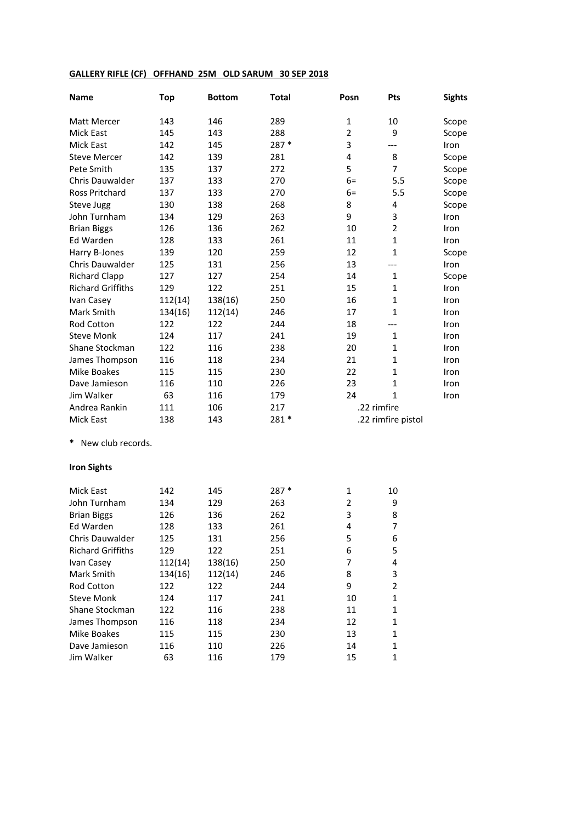### **GALLERY RIFLE (CF) OFFHAND 25M OLD SARUM 30 SEP 2018**

| Name                     | <b>Top</b> | <b>Bottom</b> | <b>Total</b> | Posn           | Pts                | <b>Sights</b> |
|--------------------------|------------|---------------|--------------|----------------|--------------------|---------------|
| Matt Mercer              | 143        | 146           | 289          | 1              | 10                 | Scope         |
| <b>Mick East</b>         | 145        | 143           | 288          | $\overline{2}$ | 9                  | Scope         |
| <b>Mick East</b>         | 142        | 145           | 287 *        | 3              | ---                | Iron          |
| <b>Steve Mercer</b>      | 142        | 139           | 281          | 4              | 8                  | Scope         |
| Pete Smith               | 135        | 137           | 272          | 5              | $\overline{7}$     | Scope         |
| <b>Chris Dauwalder</b>   | 137        | 133           | 270          | $6=$           | 5.5                | Scope         |
| <b>Ross Pritchard</b>    | 137        | 133           | 270          | $6=$           | 5.5                | Scope         |
| Steve Jugg               | 130        | 138           | 268          | 8              | 4                  | Scope         |
| John Turnham             | 134        | 129           | 263          | 9              | 3                  | Iron          |
| <b>Brian Biggs</b>       | 126        | 136           | 262          | 10             | $\overline{2}$     | Iron          |
| Ed Warden                | 128        | 133           | 261          | 11             | 1                  | Iron          |
| Harry B-Jones            | 139        | 120           | 259          | 12             | $\mathbf{1}$       | Scope         |
| <b>Chris Dauwalder</b>   | 125        | 131           | 256          | 13             | ---                | Iron          |
| <b>Richard Clapp</b>     | 127        | 127           | 254          | 14             | $\mathbf{1}$       | Scope         |
| <b>Richard Griffiths</b> | 129        | 122           | 251          | 15             | 1                  | Iron          |
| Ivan Casey               | 112(14)    | 138(16)       | 250          | 16             | $\mathbf{1}$       | Iron          |
| Mark Smith               | 134(16)    | 112(14)       | 246          | 17             | $\mathbf{1}$       | Iron          |
| <b>Rod Cotton</b>        | 122        | 122           | 244          | 18             | ---                | Iron          |
| <b>Steve Monk</b>        | 124        | 117           | 241          | 19             | $\mathbf{1}$       | Iron          |
| Shane Stockman           | 122        | 116           | 238          | 20             | $\mathbf{1}$       | Iron          |
| James Thompson           | 116        | 118           | 234          | 21             | 1                  | Iron          |
| <b>Mike Boakes</b>       | 115        | 115           | 230          | 22             | $\mathbf{1}$       | Iron          |
| Dave Jamieson            | 116        | 110           | 226          | 23             | $\mathbf{1}$       | Iron          |
| Jim Walker               | 63         | 116           | 179          | 24             | $\mathbf{1}$       | Iron          |
| Andrea Rankin            | 111        | 106           | 217          |                | .22 rimfire        |               |
| <b>Mick East</b>         | 138        | 143           | 281 *        |                | .22 rimfire pistol |               |

**\*** New club records.

## **Iron Sights**

| <b>Mick East</b>         | 142     | 145     | $287*$ | 1  | 10            |
|--------------------------|---------|---------|--------|----|---------------|
| John Turnham             | 134     | 129     | 263    | 2  | 9             |
| <b>Brian Biggs</b>       | 126     | 136     | 262    | 3  | 8             |
| Ed Warden                | 128     | 133     | 261    | 4  |               |
| Chris Dauwalder          | 125     | 131     | 256    | 5  | 6             |
| <b>Richard Griffiths</b> | 129     | 122     | 251    | 6  | 5             |
| Ivan Casey               | 112(14) | 138(16) | 250    | 7  | 4             |
| Mark Smith               | 134(16) | 112(14) | 246    | 8  | 3             |
| <b>Rod Cotton</b>        | 122     | 122     | 244    | 9  | $\mathfrak z$ |
| Steve Monk               | 124     | 117     | 241    | 10 | 1             |
| Shane Stockman           | 122     | 116     | 238    | 11 | 1             |
| James Thompson           | 116     | 118     | 234    | 12 | 1             |
| Mike Boakes              | 115     | 115     | 230    | 13 | 1             |
| Dave Jamieson            | 116     | 110     | 226    | 14 | 1             |
| Jim Walker               | 63      | 116     | 179    | 15 |               |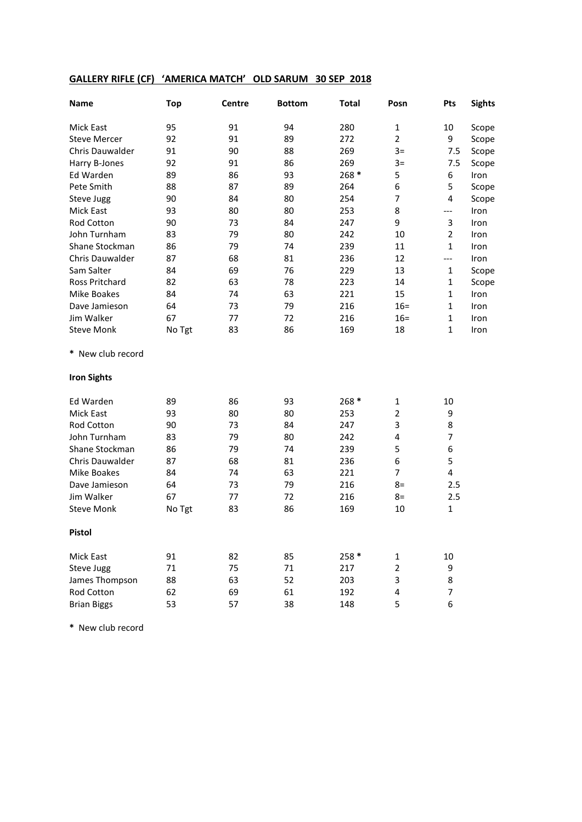# **GALLERY RIFLE (CF) 'AMERICA MATCH' OLD SARUM 30 SEP 2018**

| Name                | <b>Top</b> | Centre | <b>Bottom</b> | <b>Total</b> | Posn           | Pts                     | <b>Sights</b> |
|---------------------|------------|--------|---------------|--------------|----------------|-------------------------|---------------|
| <b>Mick East</b>    | 95         | 91     | 94            | 280          | $\mathbf{1}$   | 10                      | Scope         |
| <b>Steve Mercer</b> | 92         | 91     | 89            | 272          | $\overline{2}$ | 9                       | Scope         |
| Chris Dauwalder     | 91         | 90     | 88            | 269          | $3=$           | 7.5                     | Scope         |
| Harry B-Jones       | 92         | 91     | 86            | 269          | $3=$           | 7.5                     | Scope         |
| Ed Warden           | 89         | 86     | 93            | $268*$       | 5              | 6                       | Iron          |
| Pete Smith          | 88         | 87     | 89            | 264          | 6              | 5                       | Scope         |
| Steve Jugg          | 90         | 84     | 80            | 254          | 7              | 4                       | Scope         |
| Mick East           | 93         | 80     | 80            | 253          | 8              | $---$                   | Iron          |
| Rod Cotton          | 90         | 73     | 84            | 247          | 9              | 3                       | Iron          |
| John Turnham        | 83         | 79     | 80            | 242          | 10             | $\overline{2}$          | Iron          |
| Shane Stockman      | 86         | 79     | 74            | 239          | 11             | $\mathbf{1}$            | Iron          |
| Chris Dauwalder     | 87         | 68     | 81            | 236          | 12             | $---$                   | Iron          |
| Sam Salter          | 84         | 69     | 76            | 229          | 13             | $\mathbf{1}$            | Scope         |
| Ross Pritchard      | 82         | 63     | 78            | 223          | 14             | $\mathbf{1}$            | Scope         |
| <b>Mike Boakes</b>  | 84         | 74     | 63            | 221          | 15             | $\mathbf{1}$            | Iron          |
| Dave Jamieson       | 64         | 73     | 79            | 216          | $16 =$         | $\mathbf{1}$            | Iron          |
| Jim Walker          | 67         | 77     | 72            | 216          | $16 =$         | $\mathbf{1}$            | Iron          |
| <b>Steve Monk</b>   | No Tgt     | 83     | 86            | 169          | 18             | $\mathbf{1}$            | Iron          |
| * New club record   |            |        |               |              |                |                         |               |
| <b>Iron Sights</b>  |            |        |               |              |                |                         |               |
| Ed Warden           | 89         | 86     | 93            | $268*$       | 1              | 10                      |               |
| Mick East           | 93         | 80     | 80            | 253          | $\overline{2}$ | 9                       |               |
| Rod Cotton          | 90         | 73     | 84            | 247          | 3              | 8                       |               |
| John Turnham        | 83         | 79     | 80            | 242          | 4              | $\overline{7}$          |               |
| Shane Stockman      | 86         | 79     | 74            | 239          | 5              | 6                       |               |
| Chris Dauwalder     | 87         | 68     | 81            | 236          | 6              | 5                       |               |
| <b>Mike Boakes</b>  | 84         | 74     | 63            | 221          | 7              | $\overline{\mathbf{4}}$ |               |
| Dave Jamieson       | 64         | 73     | 79            | 216          | $8=$           | 2.5                     |               |
| Jim Walker          | 67         | 77     | 72            | 216          | $8=$           | 2.5                     |               |
| <b>Steve Monk</b>   | No Tgt     | 83     | 86            | 169          | 10             | $\mathbf{1}$            |               |
| Pistol              |            |        |               |              |                |                         |               |
| Mick East           | 91         | 82     | 85            | 258 *        | $\mathbf{1}$   | $10\,$                  |               |
| Steve Jugg          | 71         | 75     | 71            | 217          | $\mathbf 2$    | 9                       |               |
| James Thompson      | 88         | 63     | 52            | 203          | 3              | 8                       |               |
| Rod Cotton          | 62         | 69     | 61            | 192          | 4              | 7                       |               |
| <b>Brian Biggs</b>  | 53         | 57     | 38            | 148          | 5              | 6                       |               |

**\*** New club record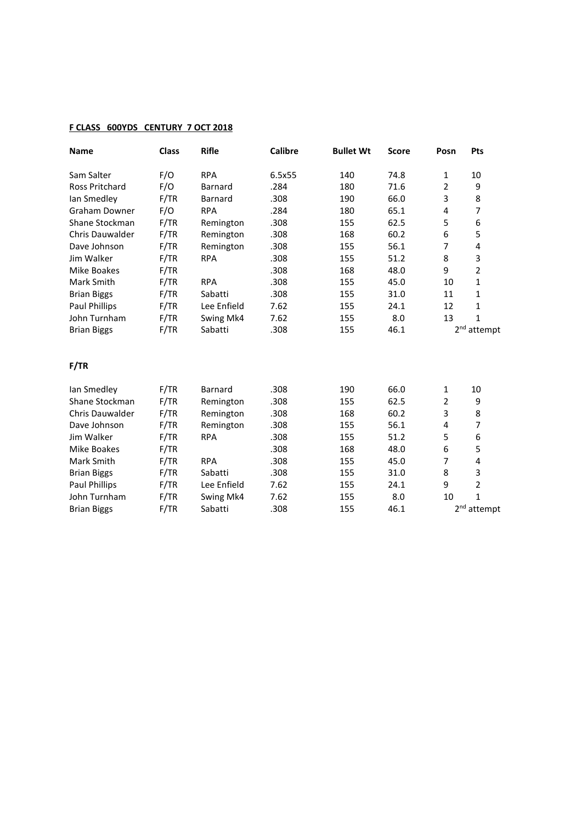## **F CLASS 600YDS CENTURY 7 OCT 2018**

| <b>Name</b>            | <b>Class</b> | <b>Rifle</b>   | <b>Calibre</b> | <b>Bullet Wt</b> | <b>Score</b> | Posn           | Pts                     |
|------------------------|--------------|----------------|----------------|------------------|--------------|----------------|-------------------------|
| Sam Salter             | F/O          | <b>RPA</b>     | 6.5x55         | 140              | 74.8         | 1              | 10                      |
| <b>Ross Pritchard</b>  | F/O          | <b>Barnard</b> | .284           | 180              | 71.6         | $\overline{2}$ | 9                       |
| lan Smedley            | F/TR         | <b>Barnard</b> | .308           | 190              | 66.0         | 3              | 8                       |
| <b>Graham Downer</b>   | F/O          | <b>RPA</b>     | .284           | 180              | 65.1         | 4              | 7                       |
| Shane Stockman         | F/TR         | Remington      | .308           | 155              | 62.5         | 5              | 6                       |
| <b>Chris Dauwalder</b> | F/TR         | Remington      | .308           | 168              | 60.2         | 6              | 5                       |
| Dave Johnson           | F/TR         | Remington      | .308           | 155              | 56.1         | $\overline{7}$ | 4                       |
| Jim Walker             | F/TR         | <b>RPA</b>     | .308           | 155              | 51.2         | 8              | 3                       |
| Mike Boakes            | F/TR         |                | .308           | 168              | 48.0         | 9              | $\overline{2}$          |
| Mark Smith             | F/TR         | <b>RPA</b>     | .308           | 155              | 45.0         | 10             | 1                       |
| <b>Brian Biggs</b>     | F/TR         | Sabatti        | .308           | 155              | 31.0         | 11             | $\mathbf{1}$            |
| <b>Paul Phillips</b>   | F/TR         | Lee Enfield    | 7.62           | 155              | 24.1         | 12             | $\mathbf{1}$            |
| John Turnham           | F/TR         | Swing Mk4      | 7.62           | 155              | 8.0          | 13             | $\mathbf{1}$            |
| <b>Brian Biggs</b>     | F/TR         | Sabatti        | .308           | 155              | 46.1         |                | 2 <sup>nd</sup> attempt |
| F/TR                   |              |                |                |                  |              |                |                         |
| lan Smedley            | F/TR         | <b>Barnard</b> | .308           | 190              | 66.0         | $\mathbf{1}$   | 10                      |
| Shane Stockman         | F/TR         | Remington      | .308           | 155              | 62.5         | $\overline{2}$ | 9                       |
| <b>Chris Dauwalder</b> | F/TR         | Remington      | .308           | 168              | 60.2         | 3              | 8                       |
| Dave Johnson           | F/TR         | Remington      | .308           | 155              | 56.1         | 4              | 7                       |
| Jim Walker             | F/TR         | <b>RPA</b>     | .308           | 155              | 51.2         | 5              | 6                       |
| Mike Boakes            | F/TR         |                | .308           | 168              | 48.0         | 6              | 5                       |
| Mark Smith             | F/TR         | <b>RPA</b>     | .308           | 155              | 45.0         | $\overline{7}$ | 4                       |
| <b>Brian Biggs</b>     | F/TR         | Sabatti        | .308           | 155              | 31.0         | 8              | 3                       |
| <b>Paul Phillips</b>   | F/TR         | Lee Enfield    | 7.62           | 155              | 24.1         | 9              | $\overline{2}$          |
| John Turnham           | F/TR         | Swing Mk4      | 7.62           | 155              | 8.0          | 10             | $\mathbf{1}$            |
| <b>Brian Biggs</b>     | F/TR         | Sabatti        | .308           | 155              | 46.1         |                | 2 <sup>nd</sup> attempt |